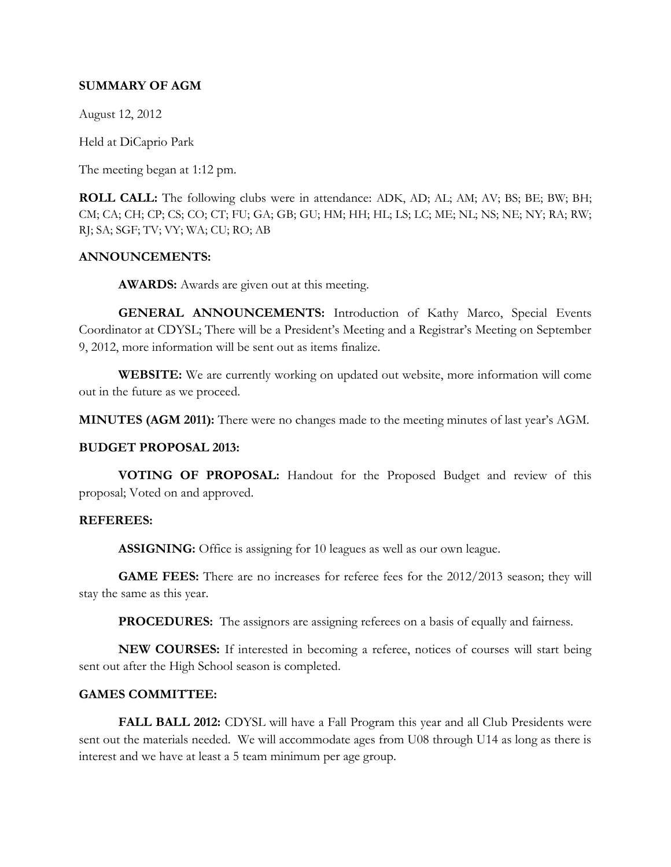### **SUMMARY OF AGM**

August 12, 2012

Held at DiCaprio Park

The meeting began at 1:12 pm.

**ROLL CALL:** The following clubs were in attendance: ADK, AD; AL; AM; AV; BS; BE; BW; BH; CM; CA; CH; CP; CS; CO; CT; FU; GA; GB; GU; HM; HH; HL; LS; LC; ME; NL; NS; NE; NY; RA; RW; RJ; SA; SGF; TV; VY; WA; CU; RO; AB

### **ANNOUNCEMENTS:**

**AWARDS:** Awards are given out at this meeting.

**GENERAL ANNOUNCEMENTS:** Introduction of Kathy Marco, Special Events Coordinator at CDYSL; There will be a President's Meeting and a Registrar's Meeting on September 9, 2012, more information will be sent out as items finalize.

**WEBSITE:** We are currently working on updated out website, more information will come out in the future as we proceed.

**MINUTES (AGM 2011):** There were no changes made to the meeting minutes of last year's AGM.

#### **BUDGET PROPOSAL 2013:**

**VOTING OF PROPOSAL:** Handout for the Proposed Budget and review of this proposal; Voted on and approved.

#### **REFEREES:**

**ASSIGNING:** Office is assigning for 10 leagues as well as our own league.

**GAME FEES:** There are no increases for referee fees for the 2012/2013 season; they will stay the same as this year.

**PROCEDURES:** The assignors are assigning referees on a basis of equally and fairness.

**NEW COURSES:** If interested in becoming a referee, notices of courses will start being sent out after the High School season is completed.

## **GAMES COMMITTEE:**

**FALL BALL 2012:** CDYSL will have a Fall Program this year and all Club Presidents were sent out the materials needed. We will accommodate ages from U08 through U14 as long as there is interest and we have at least a 5 team minimum per age group.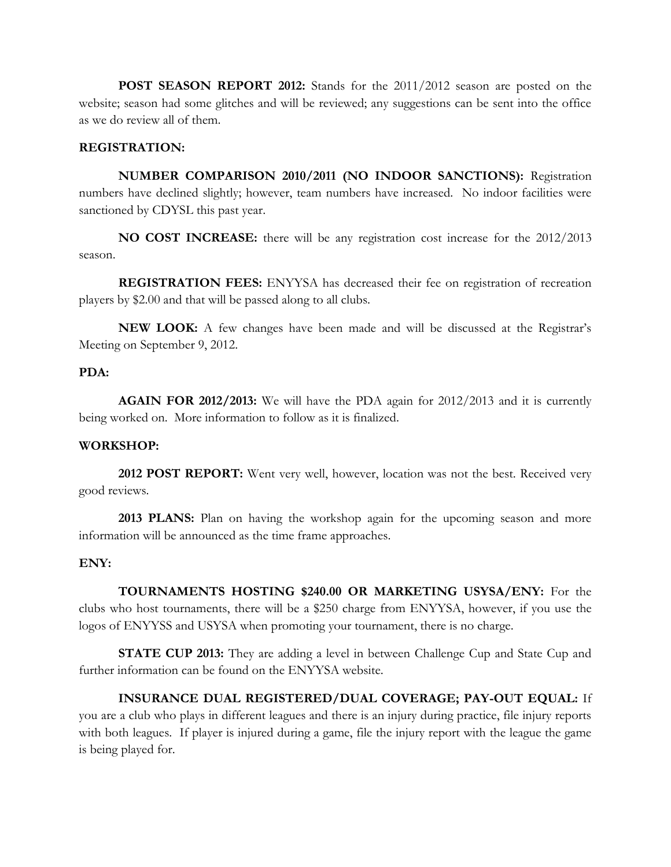**POST SEASON REPORT 2012:** Stands for the 2011/2012 season are posted on the website; season had some glitches and will be reviewed; any suggestions can be sent into the office as we do review all of them.

### **REGISTRATION:**

**NUMBER COMPARISON 2010/2011 (NO INDOOR SANCTIONS):** Registration numbers have declined slightly; however, team numbers have increased. No indoor facilities were sanctioned by CDYSL this past year.

**NO COST INCREASE:** there will be any registration cost increase for the 2012/2013 season.

**REGISTRATION FEES:** ENYYSA has decreased their fee on registration of recreation players by \$2.00 and that will be passed along to all clubs.

**NEW LOOK:** A few changes have been made and will be discussed at the Registrar's Meeting on September 9, 2012.

#### **PDA:**

**AGAIN FOR 2012/2013:** We will have the PDA again for 2012/2013 and it is currently being worked on. More information to follow as it is finalized.

#### **WORKSHOP:**

**2012 POST REPORT:** Went very well, however, location was not the best. Received very good reviews.

**2013 PLANS:** Plan on having the workshop again for the upcoming season and more information will be announced as the time frame approaches.

## **ENY:**

**TOURNAMENTS HOSTING \$240.00 OR MARKETING USYSA/ENY:** For the clubs who host tournaments, there will be a \$250 charge from ENYYSA, however, if you use the logos of ENYYSS and USYSA when promoting your tournament, there is no charge.

**STATE CUP 2013:** They are adding a level in between Challenge Cup and State Cup and further information can be found on the ENYYSA website.

# **INSURANCE DUAL REGISTERED/DUAL COVERAGE; PAY-OUT EQUAL:** If

you are a club who plays in different leagues and there is an injury during practice, file injury reports with both leagues. If player is injured during a game, file the injury report with the league the game is being played for.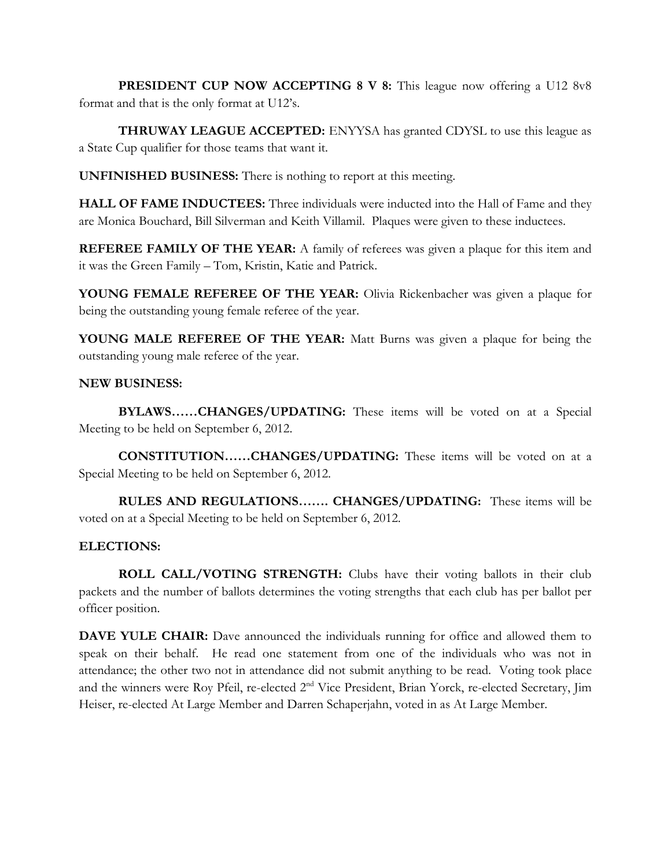**PRESIDENT CUP NOW ACCEPTING 8 V 8:** This league now offering a U12 8v8 format and that is the only format at U12's.

**THRUWAY LEAGUE ACCEPTED:** ENYYSA has granted CDYSL to use this league as a State Cup qualifier for those teams that want it.

**UNFINISHED BUSINESS:** There is nothing to report at this meeting.

**HALL OF FAME INDUCTEES:** Three individuals were inducted into the Hall of Fame and they are Monica Bouchard, Bill Silverman and Keith Villamil. Plaques were given to these inductees.

**REFEREE FAMILY OF THE YEAR:** A family of referees was given a plaque for this item and it was the Green Family – Tom, Kristin, Katie and Patrick.

**YOUNG FEMALE REFEREE OF THE YEAR:** Olivia Rickenbacher was given a plaque for being the outstanding young female referee of the year.

**YOUNG MALE REFEREE OF THE YEAR:** Matt Burns was given a plaque for being the outstanding young male referee of the year.

## **NEW BUSINESS:**

**BYLAWS……CHANGES/UPDATING:** These items will be voted on at a Special Meeting to be held on September 6, 2012.

**CONSTITUTION……CHANGES/UPDATING:** These items will be voted on at a Special Meeting to be held on September 6, 2012.

**RULES AND REGULATIONS……. CHANGES/UPDATING:** These items will be voted on at a Special Meeting to be held on September 6, 2012.

# **ELECTIONS:**

**ROLL CALL/VOTING STRENGTH:** Clubs have their voting ballots in their club packets and the number of ballots determines the voting strengths that each club has per ballot per officer position.

**DAVE YULE CHAIR:** Dave announced the individuals running for office and allowed them to speak on their behalf. He read one statement from one of the individuals who was not in attendance; the other two not in attendance did not submit anything to be read. Voting took place and the winners were Roy Pfeil, re-elected 2<sup>nd</sup> Vice President, Brian Yorck, re-elected Secretary, Jim Heiser, re-elected At Large Member and Darren Schaperjahn, voted in as At Large Member.